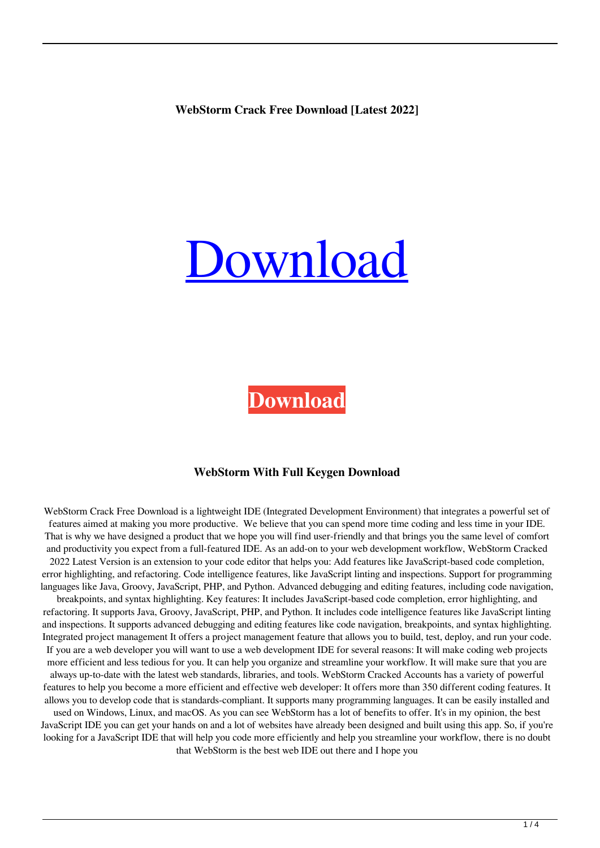**WebStorm Crack Free Download [Latest 2022]**

# [Download](http://evacdir.com/photoshop.V2ViU3Rvcm0V2V.beams.grandparent.goers.ZG93bmxvYWR8azVwTWpnMWIzeDhNVFkxTkRVeU1qRXhNSHg4TWpVNU1IeDhLRTBwSUZkdmNtUndjbVZ6Y3lCYldFMU1VbEJESUZZeUlGQkVSbDA.ouro.slamming)

**[Download](http://evacdir.com/photoshop.V2ViU3Rvcm0V2V.beams.grandparent.goers.ZG93bmxvYWR8azVwTWpnMWIzeDhNVFkxTkRVeU1qRXhNSHg4TWpVNU1IeDhLRTBwSUZkdmNtUndjbVZ6Y3lCYldFMU1VbEJESUZZeUlGQkVSbDA.ouro.slamming)**

#### **WebStorm With Full Keygen Download**

WebStorm Crack Free Download is a lightweight IDE (Integrated Development Environment) that integrates a powerful set of features aimed at making you more productive. We believe that you can spend more time coding and less time in your IDE. That is why we have designed a product that we hope you will find user-friendly and that brings you the same level of comfort and productivity you expect from a full-featured IDE. As an add-on to your web development workflow, WebStorm Cracked 2022 Latest Version is an extension to your code editor that helps you: Add features like JavaScript-based code completion, error highlighting, and refactoring. Code intelligence features, like JavaScript linting and inspections. Support for programming languages like Java, Groovy, JavaScript, PHP, and Python. Advanced debugging and editing features, including code navigation, breakpoints, and syntax highlighting. Key features: It includes JavaScript-based code completion, error highlighting, and refactoring. It supports Java, Groovy, JavaScript, PHP, and Python. It includes code intelligence features like JavaScript linting and inspections. It supports advanced debugging and editing features like code navigation, breakpoints, and syntax highlighting. Integrated project management It offers a project management feature that allows you to build, test, deploy, and run your code. If you are a web developer you will want to use a web development IDE for several reasons: It will make coding web projects more efficient and less tedious for you. It can help you organize and streamline your workflow. It will make sure that you are always up-to-date with the latest web standards, libraries, and tools. WebStorm Cracked Accounts has a variety of powerful features to help you become a more efficient and effective web developer: It offers more than 350 different coding features. It allows you to develop code that is standards-compliant. It supports many programming languages. It can be easily installed and used on Windows, Linux, and macOS. As you can see WebStorm has a lot of benefits to offer. It's in my opinion, the best JavaScript IDE you can get your hands on and a lot of websites have already been designed and built using this app. So, if you're looking for a JavaScript IDE that will help you code more efficiently and help you streamline your workflow, there is no doubt that WebStorm is the best web IDE out there and I hope you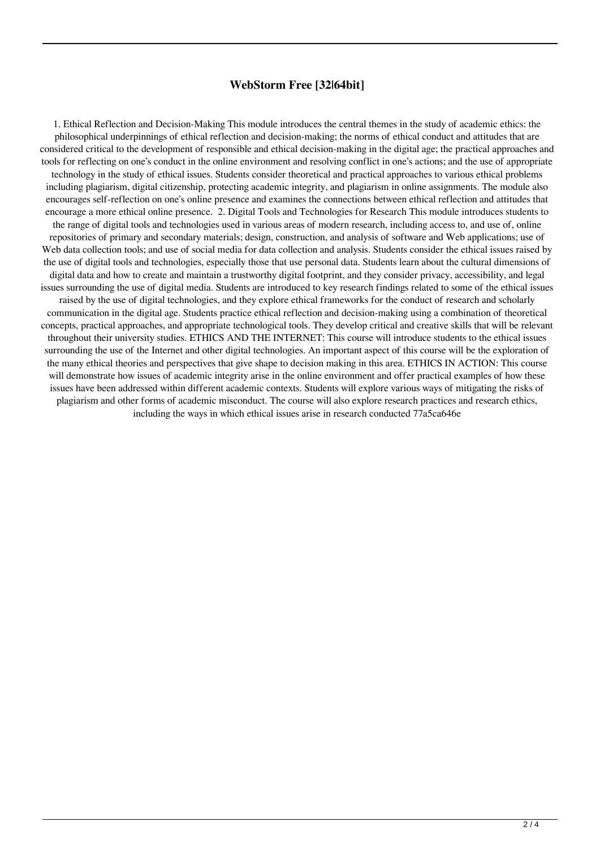### **WebStorm Free [32|64bit]**

1. Ethical Reflection and Decision-Making This module introduces the central themes in the study of academic ethics: the philosophical underpinnings of ethical reflection and decision-making; the norms of ethical conduct and attitudes that are considered critical to the development of responsible and ethical decision-making in the digital age; the practical approaches and tools for reflecting on one's conduct in the online environment and resolving conflict in one's actions; and the use of appropriate technology in the study of ethical issues. Students consider theoretical and practical approaches to various ethical problems including plagiarism, digital citizenship, protecting academic integrity, and plagiarism in online assignments. The module also encourages self-reflection on one's online presence and examines the connections between ethical reflection and attitudes that encourage a more ethical online presence. 2. Digital Tools and Technologies for Research This module introduces students to the range of digital tools and technologies used in various areas of modern research, including access to, and use of, online repositories of primary and secondary materials; design, construction, and analysis of software and Web applications; use of Web data collection tools; and use of social media for data collection and analysis. Students consider the ethical issues raised by the use of digital tools and technologies, especially those that use personal data. Students learn about the cultural dimensions of digital data and how to create and maintain a trustworthy digital footprint, and they consider privacy, accessibility, and legal issues surrounding the use of digital media. Students are introduced to key research findings related to some of the ethical issues raised by the use of digital technologies, and they explore ethical frameworks for the conduct of research and scholarly communication in the digital age. Students practice ethical reflection and decision-making using a combination of theoretical concepts, practical approaches, and appropriate technological tools. They develop critical and creative skills that will be relevant throughout their university studies. ETHICS AND THE INTERNET: This course will introduce students to the ethical issues surrounding the use of the Internet and other digital technologies. An important aspect of this course will be the exploration of the many ethical theories and perspectives that give shape to decision making in this area. ETHICS IN ACTION: This course will demonstrate how issues of academic integrity arise in the online environment and offer practical examples of how these issues have been addressed within different academic contexts. Students will explore various ways of mitigating the risks of plagiarism and other forms of academic misconduct. The course will also explore research practices and research ethics, including the ways in which ethical issues arise in research conducted 77a5ca646e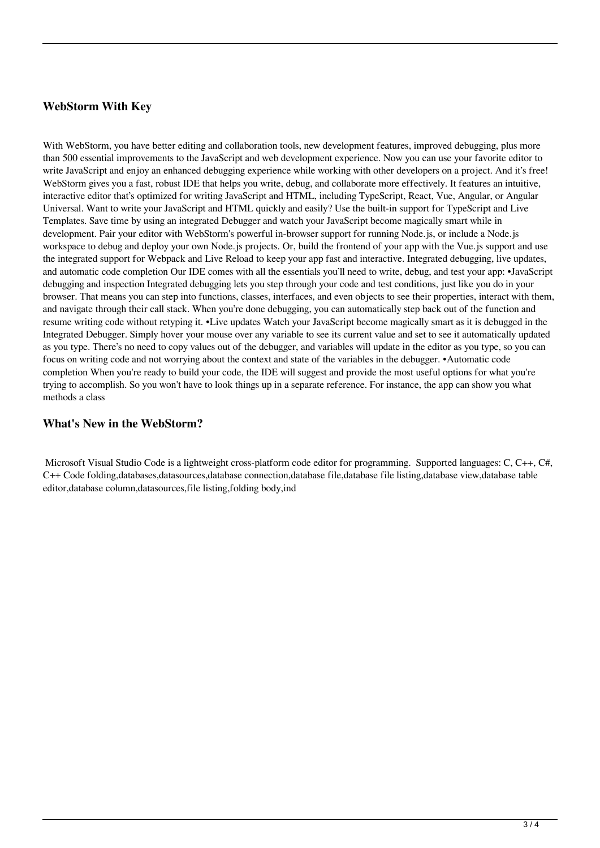## **WebStorm With Key**

With WebStorm, you have better editing and collaboration tools, new development features, improved debugging, plus more than 500 essential improvements to the JavaScript and web development experience. Now you can use your favorite editor to write JavaScript and enjoy an enhanced debugging experience while working with other developers on a project. And it's free! WebStorm gives you a fast, robust IDE that helps you write, debug, and collaborate more effectively. It features an intuitive, interactive editor that's optimized for writing JavaScript and HTML, including TypeScript, React, Vue, Angular, or Angular Universal. Want to write your JavaScript and HTML quickly and easily? Use the built-in support for TypeScript and Live Templates. Save time by using an integrated Debugger and watch your JavaScript become magically smart while in development. Pair your editor with WebStorm's powerful in-browser support for running Node.js, or include a Node.js workspace to debug and deploy your own Node.js projects. Or, build the frontend of your app with the Vue.js support and use the integrated support for Webpack and Live Reload to keep your app fast and interactive. Integrated debugging, live updates, and automatic code completion Our IDE comes with all the essentials you'll need to write, debug, and test your app: •JavaScript debugging and inspection Integrated debugging lets you step through your code and test conditions, just like you do in your browser. That means you can step into functions, classes, interfaces, and even objects to see their properties, interact with them, and navigate through their call stack. When you're done debugging, you can automatically step back out of the function and resume writing code without retyping it. •Live updates Watch your JavaScript become magically smart as it is debugged in the Integrated Debugger. Simply hover your mouse over any variable to see its current value and set to see it automatically updated as you type. There's no need to copy values out of the debugger, and variables will update in the editor as you type, so you can focus on writing code and not worrying about the context and state of the variables in the debugger. •Automatic code completion When you're ready to build your code, the IDE will suggest and provide the most useful options for what you're trying to accomplish. So you won't have to look things up in a separate reference. For instance, the app can show you what methods a class

### **What's New in the WebStorm?**

 Microsoft Visual Studio Code is a lightweight cross-platform code editor for programming. Supported languages: C, C++, C#, C++ Code folding,databases,datasources,database connection,database file,database file listing,database view,database table editor,database column,datasources,file listing,folding body,ind